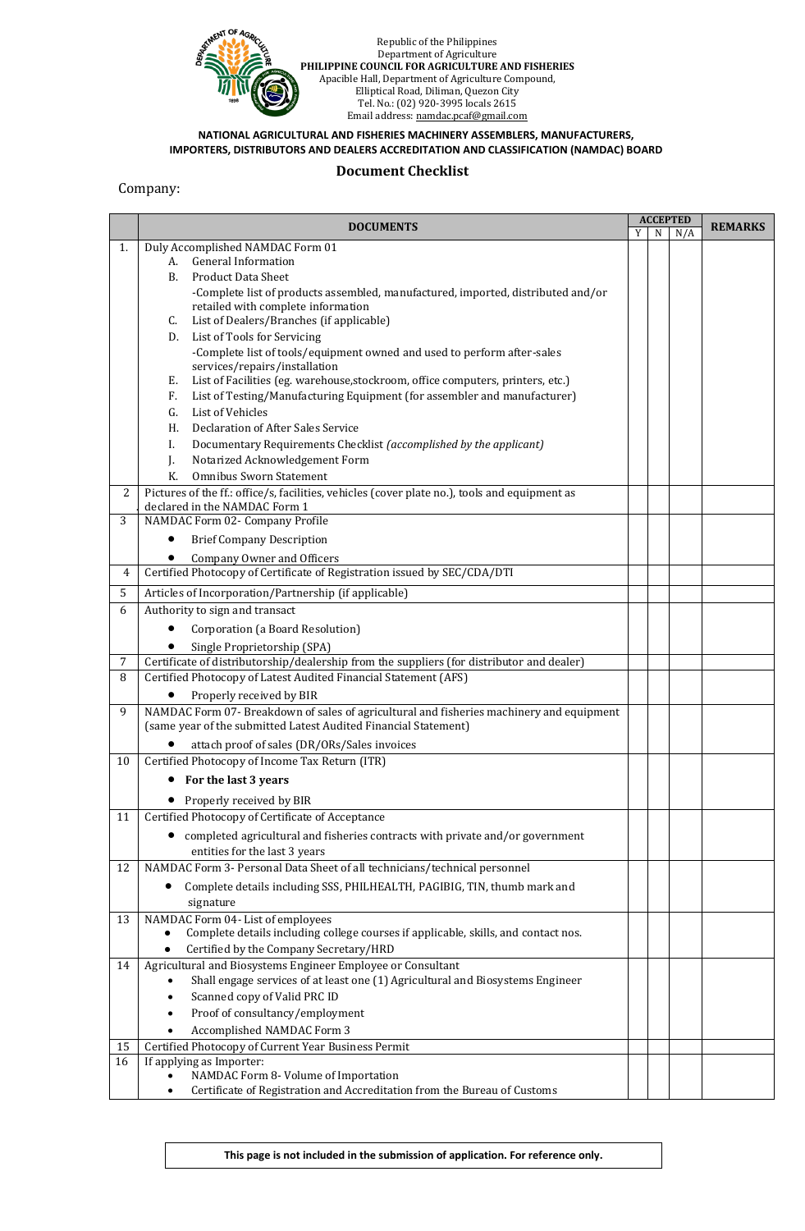

#### **NATIONAL AGRICULTURAL AND FISHERIES MACHINERY ASSEMBLERS, MANUFACTURERS, IMPORTERS, DISTRIBUTORS AND DEALERS ACCREDITATION AND CLASSIFICATION (NAMDAC) BOARD**

### **Document Checklist**

### Company:

|    | <b>DOCUMENTS</b>                                                                                                       |   | <b>ACCEPTED</b> |     | <b>REMARKS</b> |
|----|------------------------------------------------------------------------------------------------------------------------|---|-----------------|-----|----------------|
|    |                                                                                                                        | Y | N               | N/A |                |
| 1. | Duly Accomplished NAMDAC Form 01                                                                                       |   |                 |     |                |
|    | A. General Information                                                                                                 |   |                 |     |                |
|    | B.<br><b>Product Data Sheet</b>                                                                                        |   |                 |     |                |
|    | -Complete list of products assembled, manufactured, imported, distributed and/or<br>retailed with complete information |   |                 |     |                |
|    | List of Dealers/Branches (if applicable)<br>C.                                                                         |   |                 |     |                |
|    | List of Tools for Servicing<br>D.                                                                                      |   |                 |     |                |
|    | -Complete list of tools/equipment owned and used to perform after-sales                                                |   |                 |     |                |
|    | services/repairs/installation                                                                                          |   |                 |     |                |
|    | List of Facilities (eg. warehouse, stockroom, office computers, printers, etc.)<br>Е.                                  |   |                 |     |                |
|    | List of Testing/Manufacturing Equipment (for assembler and manufacturer)<br>F.                                         |   |                 |     |                |
|    | List of Vehicles<br>G.                                                                                                 |   |                 |     |                |
|    | Declaration of After Sales Service<br>Н.                                                                               |   |                 |     |                |
|    | Documentary Requirements Checklist (accomplished by the applicant)<br>I.                                               |   |                 |     |                |
|    | Notarized Acknowledgement Form<br>J.                                                                                   |   |                 |     |                |
|    | <b>Omnibus Sworn Statement</b><br>K.                                                                                   |   |                 |     |                |
| 2  | Pictures of the ff.: office/s, facilities, vehicles (cover plate no.), tools and equipment as                          |   |                 |     |                |
|    | declared in the NAMDAC Form 1                                                                                          |   |                 |     |                |
| 3  | NAMDAC Form 02- Company Profile                                                                                        |   |                 |     |                |
|    | <b>Brief Company Description</b>                                                                                       |   |                 |     |                |
|    | <b>Company Owner and Officers</b>                                                                                      |   |                 |     |                |
| 4  | Certified Photocopy of Certificate of Registration issued by SEC/CDA/DTI                                               |   |                 |     |                |
| 5  | Articles of Incorporation/Partnership (if applicable)                                                                  |   |                 |     |                |
| 6  | Authority to sign and transact                                                                                         |   |                 |     |                |
|    | Corporation (a Board Resolution)                                                                                       |   |                 |     |                |
|    | Single Proprietorship (SPA)                                                                                            |   |                 |     |                |
| 7  | Certificate of distributorship/dealership from the suppliers (for distributor and dealer)                              |   |                 |     |                |
| 8  | Certified Photocopy of Latest Audited Financial Statement (AFS)                                                        |   |                 |     |                |
|    | Properly received by BIR                                                                                               |   |                 |     |                |
| 9  | NAMDAC Form 07- Breakdown of sales of agricultural and fisheries machinery and equipment                               |   |                 |     |                |
|    | (same year of the submitted Latest Audited Financial Statement)                                                        |   |                 |     |                |
|    | attach proof of sales (DR/ORs/Sales invoices                                                                           |   |                 |     |                |
| 10 | Certified Photocopy of Income Tax Return (ITR)                                                                         |   |                 |     |                |
|    | For the last 3 years                                                                                                   |   |                 |     |                |
|    | Properly received by BIR<br>$\bullet$                                                                                  |   |                 |     |                |
| 11 | Certified Photocopy of Certificate of Acceptance                                                                       |   |                 |     |                |
|    | completed agricultural and fisheries contracts with private and/or government                                          |   |                 |     |                |
|    | entities for the last 3 years                                                                                          |   |                 |     |                |
| 12 | NAMDAC Form 3- Personal Data Sheet of all technicians/technical personnel                                              |   |                 |     |                |
|    | Complete details including SSS, PHILHEALTH, PAGIBIG, TIN, thumb mark and<br>٠                                          |   |                 |     |                |
|    | signature                                                                                                              |   |                 |     |                |
| 13 | NAMDAC Form 04- List of employees                                                                                      |   |                 |     |                |
|    | Complete details including college courses if applicable, skills, and contact nos.                                     |   |                 |     |                |
|    | Certified by the Company Secretary/HRD                                                                                 |   |                 |     |                |
| 14 | Agricultural and Biosystems Engineer Employee or Consultant                                                            |   |                 |     |                |
|    | Shall engage services of at least one (1) Agricultural and Biosystems Engineer                                         |   |                 |     |                |
|    | Scanned copy of Valid PRC ID<br>$\bullet$                                                                              |   |                 |     |                |
|    | Proof of consultancy/employment<br>$\bullet$                                                                           |   |                 |     |                |
|    | Accomplished NAMDAC Form 3                                                                                             |   |                 |     |                |
| 15 | Certified Photocopy of Current Year Business Permit                                                                    |   |                 |     |                |
| 16 | If applying as Importer:                                                                                               |   |                 |     |                |
|    | NAMDAC Form 8- Volume of Importation                                                                                   |   |                 |     |                |
|    | Certificate of Registration and Accreditation from the Bureau of Customs<br>$\bullet$                                  |   |                 |     |                |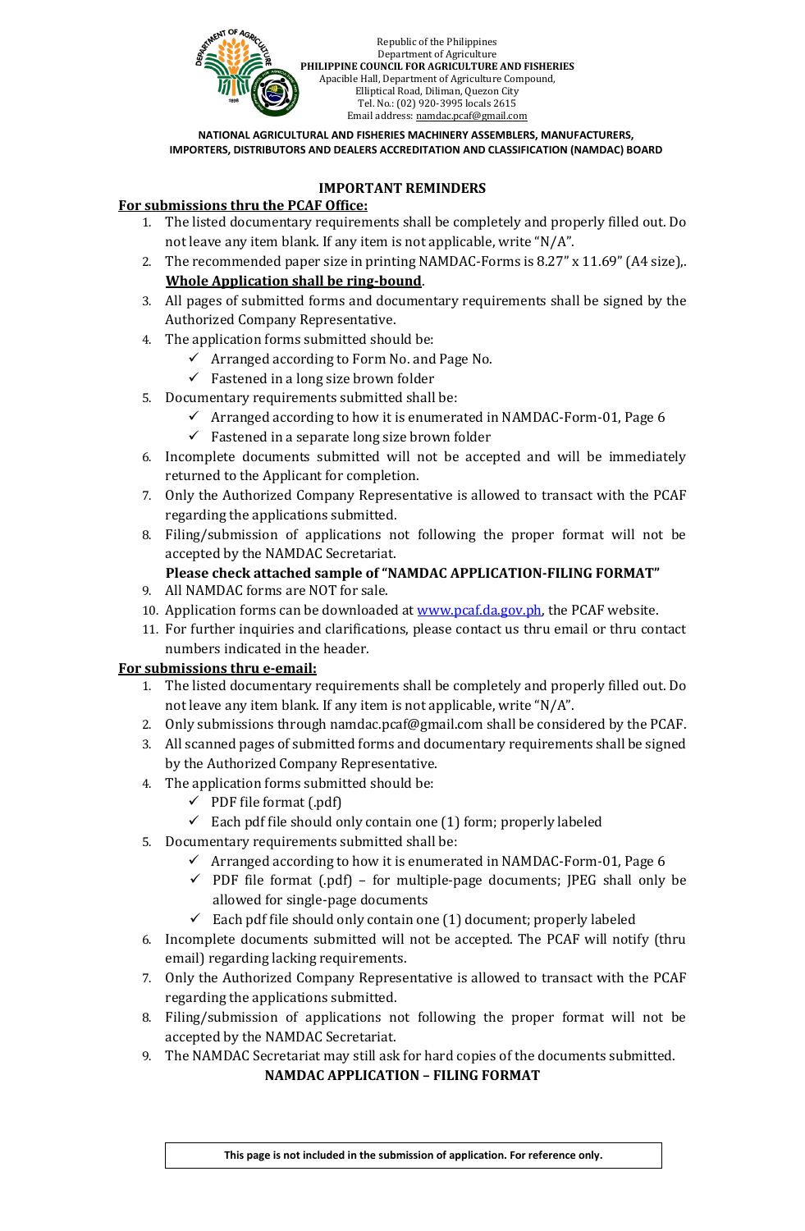

Republic of the Philippines Department of Agriculture **PHILIPPINE COUNCIL FOR AGRICULTURE AND FISHERIES** Apacible Hall, Department of Agriculture Compound, Elliptical Road, Diliman, Quezon City Tel. No.: (02) 920-3995 locals 2615 Email address: namdac.pcaf@gmail.com

**NATIONAL AGRICULTURAL AND FISHERIES MACHINERY ASSEMBLERS, MANUFACTURERS, IMPORTERS, DISTRIBUTORS AND DEALERS ACCREDITATION AND CLASSIFICATION (NAMDAC) BOARD**

### **IMPORTANT REMINDERS**

# **For submissions thru the PCAF Office:**

- 1. The listed documentary requirements shall be completely and properly filled out. Do not leave any item blank. If any item is not applicable, write "N/A".
- 2. The recommended paper size in printing NAMDAC-Forms is 8.27" x 11.69" (A4 size),. **Whole Application shall be ring-bound**.
- 3. All pages of submitted forms and documentary requirements shall be signed by the Authorized Company Representative.
- 4. The application forms submitted should be:
	- $\checkmark$  Arranged according to Form No. and Page No.
	- $\checkmark$  Fastened in a long size brown folder
- 5. Documentary requirements submitted shall be:
	- $\checkmark$  Arranged according to how it is enumerated in NAMDAC-Form-01, Page 6
	- $\checkmark$  Fastened in a separate long size brown folder
- 6. Incomplete documents submitted will not be accepted and will be immediately returned to the Applicant for completion.
- 7. Only the Authorized Company Representative is allowed to transact with the PCAF regarding the applications submitted.
- 8. Filing/submission of applications not following the proper format will not be accepted by the NAMDAC Secretariat.

## **Please check attached sample of "NAMDAC APPLICATION-FILING FORMAT"**

- 9. All NAMDAC forms are NOT for sale.
- 10. Application forms can be downloaded a[t www.pcaf.da.gov.ph,](http://www.pcaf.da.gov.ph/) the PCAF website.
- 11. For further inquiries and clarifications, please contact us thru email or thru contact numbers indicated in the header.

### **For submissions thru e-email:**

- 1. The listed documentary requirements shall be completely and properly filled out. Do not leave any item blank. If any item is not applicable, write "N/A".
- 2. Only submissions through namdac.pcaf@gmail.com shall be considered by the PCAF.
- 3. All scanned pages of submitted forms and documentary requirements shall be signed by the Authorized Company Representative.
- 4. The application forms submitted should be:
	- $\checkmark$  PDF file format (.pdf)
	- $\checkmark$  Each pdf file should only contain one (1) form; properly labeled
- 5. Documentary requirements submitted shall be:
	- $\checkmark$  Arranged according to how it is enumerated in NAMDAC-Form-01, Page 6
	- ✓ PDF file format (.pdf) for multiple-page documents; JPEG shall only be allowed for single-page documents
	- $\checkmark$  Each pdf file should only contain one (1) document; properly labeled
- 6. Incomplete documents submitted will not be accepted. The PCAF will notify (thru email) regarding lacking requirements.
- 7. Only the Authorized Company Representative is allowed to transact with the PCAF regarding the applications submitted.
- 8. Filing/submission of applications not following the proper format will not be accepted by the NAMDAC Secretariat.
- 9. The NAMDAC Secretariat may still ask for hard copies of the documents submitted. **NAMDAC APPLICATION – FILING FORMAT**